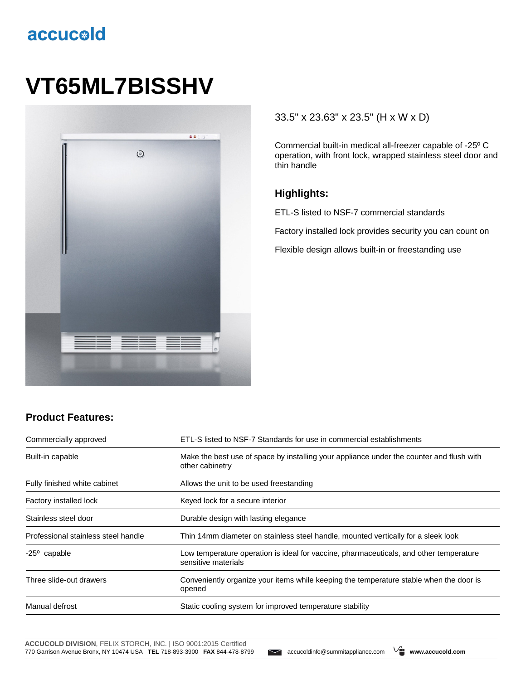## accucold

# **VT65ML7BISSHV**



#### 33.5" x 23.63" x 23.5" (H x W x D)

Commercial built-in medical all-freezer capable of -25º C operation, with front lock, wrapped stainless steel door and thin handle

#### **Highlights:**

ETL-S listed to NSF-7 commercial standards

Factory installed lock provides security you can count on

Flexible design allows built-in or freestanding use

### **Product Features:**

| Commercially approved               | ETL-S listed to NSF-7 Standards for use in commercial establishments                                          |  |
|-------------------------------------|---------------------------------------------------------------------------------------------------------------|--|
| Built-in capable                    | Make the best use of space by installing your appliance under the counter and flush with<br>other cabinetry   |  |
| Fully finished white cabinet        | Allows the unit to be used freestanding                                                                       |  |
| Factory installed lock              | Keyed lock for a secure interior                                                                              |  |
| Stainless steel door                | Durable design with lasting elegance                                                                          |  |
| Professional stainless steel handle | Thin 14mm diameter on stainless steel handle, mounted vertically for a sleek look                             |  |
| $-25^{\circ}$ capable               | Low temperature operation is ideal for vaccine, pharmaceuticals, and other temperature<br>sensitive materials |  |
| Three slide-out drawers             | Conveniently organize your items while keeping the temperature stable when the door is<br>opened              |  |
| Manual defrost                      | Static cooling system for improved temperature stability                                                      |  |

**ACCUCOLD DIVISION**, FELIX STORCH, INC. | ISO 9001:2015 Certified 770 Garrison Avenue Bronx, NY 10474 USA **TEL** 718-893-3900 **FAX** 844-478-8799 accucoldinfo@summitappliance.com **www.accucold.com**